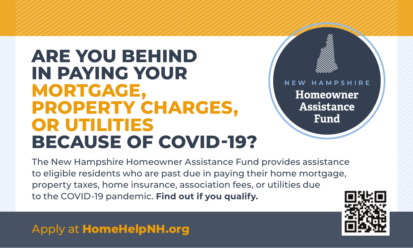## The New Hampshire Homeowner Assistance Fund **PROPERTY CHARGES, \ pay the mortgage mortgage mortgage of the mortgage of the mortgage, under the mortgage of the mortgage, under DECALICE OF COVID-102 BECAUSE OF COVID-19? ARE YOU BEHIND ARE YOU BEHIND BECAUSE OF COVID-1999 MORTGAGE,**

Homeowner **Assistance Fund** 

property taxes, home insurance, association fees, or utilities due to the COVID-19 pandemic. **Find out if you qualify.** The New Hampshire Homeowner Assistance Fund provides assistance to eligible residents who are past due in paying their home mortgage,

**DO YOU NEED HELP PAYING**



Apply at **HomeHelpNH.org**